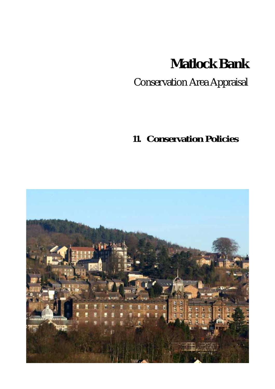# **Matlock Bank**

Conservation Area Appraisal

# **11. Conservation Policies**

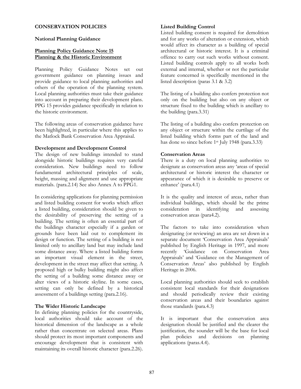#### CONSERVATION POLICIES

#### National Planning Guidance

#### Planning Policy Guidance Note 15 Planning & the Historic Environment

Planning Policy Guidance Notes set out government guidance on planning issues and provide guidance to local planning authorities and others of the operation of the planning system. Local planning authorities must take their guidance into account in preparing their development plans. PPG 15 provides guidance specifically in relation to the historic environment.

The following areas of conservation guidance have been highlighted, in particular where this applies to the Matlock Bank Conservation Area Appraisal.

#### Development and Development Control

The design of new buildings intended to stand alongside historic buildings requires very careful consideration. New buildings need to follow fundamental architectural principles of scale, height, massing and alignment and use appropriate materials. (para.2.14) See also Annex A to PPG1.

In considering applications for planning permission and listed building consent for works which affect a listed building, consideration should be given to the desirability of preserving the setting of a building. The setting is often an essential part of the buildings character especially if a garden or grounds have been laid out to complement its design or function. The setting of a building is not limited only to ancillary land but may include land some distance away. Where a listed building forms an important visual element in the street, development in the street may affect that setting. A proposed high or bulky building might also affect the setting of a building some distance away or alter views of a historic skyline. In some cases, setting can only be defined by a historical assessment of a buildings setting (para.2.16).

#### The Wider Historic Landscape

In defining planning policies for the countryside, local authorities should take account of the historical dimension of the landscape as a whole rather than concentrate on selected areas. Plans should protect its most important components and encourage development that is consistent with maintaining its overall historic character (para.2.26).

# Listed Building Control

Listed building consent is required for demolition and for any works of alteration or extension, which would affect its character as a building of special architectural or historic interest. It is a criminal offence to carry out such works without consent. Listed building controls apply to all works both external and internal, whether or not the particular feature concerned is specifically mentioned in the listed description (paras 3.1 & 3.2)

The listing of a building also confers protection not only on the building but also on any object or structure fixed to the building which is ancillary to the building (para.3.31)

The listing of a building also confers protection on any object or structure within the curtilage of the listed building which forms part of the land and has done so since before 1<sup>st</sup> July 1948 (para.3.33)

#### Conservation Areas

There is a duty on local planning authorities to designate as conservation areas any 'areas of special architectural or historic interest the character or appearance of which it is desirable to preserve or enhance' (para.4.1)

It is the quality and interest of areas, rather than individual buildings, which should be the prime in identifying and assessing conservation areas (para4.2).

The factors to take into consideration when designating (or reviewing) an area are set down in a separate document 'Conservation Area Appraisals' published by English Heritage in 1997, and more recently 'Guidance on Conservation Area Appraisals' and 'Guidance on the Management of Conservation Areas' also published by English Heritage in 2006.

Local planning authorities should seek to establish consistent local standards for their designations and should periodically review their existing conservation areas and their boundaries against those standards (para.4.3)

It is important that the conservation area designation should be justified and the clearer the justification, the sounder will be the base for local plan policies and decisions on planning applications (paras.4.4).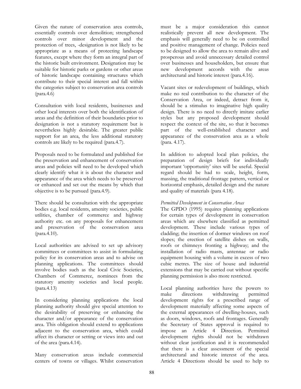Given the nature of conservation area controls, essentially controls over demolition; strengthened controls over minor development and the protection of trees, -designation is not likely to be appropriate as a means of protecting landscape features, except where they form an integral part of the historic built environment. Designation may be suitable for historic parks or gardens or other areas of historic landscape containing structures which contribute to their special interest and fall within the categories subject to conservation area controls (para.4.6)

Consultation with local residents, businesses and other local interests over both the identification of areas and the definition of their boundaries prior to designation is not a statutory requirement but is nevertheless highly desirable. The greater public support for an area, the less additional statutory controls are likely to be required (para.4.7).

Proposals need to be formulated and published for the preservation and enhancement of conservation areas and policies will need to be developed which clearly identify what it is about the character and appearance of the area which needs to be preserved or enhanced and set out the means by which that objective is to be pursued (para.4.9).

There should be consultation with the appropriate bodies e.g. local residents, amenity societies, public utilities, chamber of commerce and highway authority etc. on any proposals for enhancement and preservation of the conservation area (para.4.10).

Local authorities are advised to set up advisory committees or committees to assist in formulating policy for its conservation areas and to advise on planning applications. The committees should involve bodies such as the local Civic Societies, Chambers of Commerce, nominees from the statutory amenity societies and local people. (para.4.13)

In considering planning applications the local planning authority should give special attention to the desirability of preserving or enhancing the character and/or appearance of the conservation area. This obligation should extend to applications adjacent to the conservation area, which could affect its character or setting or views into and out of the area (para.4.14).

Many conservation areas include commercial centers of towns or villages. Whilst conservation

must be a major consideration this cannot realistically prevent all new development. The emphasis will generally need to be on controlled and positive management of change. Policies need to be designed to allow the area to remain alive and prosperous and avoid unnecessary detailed control over businesses and householders, but ensure that new development accords with the areas architectural and historic interest (para.4.16).

Vacant sites or redevelopment of buildings, which make no real contribution to the character of the Conservation Area, or indeed, detract from it, should be a stimulus to imaginative high quality design. There is no need to directly imitate earlier styles but any proposed development should respect the context of the site, so that it becomes part of the well-established character and appearance of the conservation area as a whole (para. 4.17).

In addition to adopted local plan policies, the preparation of design briefs for individually important 'opportunity' sites will be useful. Special regard should be had to scale, height, form, massing, the traditional frontage pattern, vertical or horizontal emphasis, detailed design and the nature and quality of materials (para 4.18).

# Permitted Development in Conservation Areas

The GPDO (1995) requires planning applications for certain types of development in conservation areas which are elsewhere classified as permitted development. These include various types of cladding; the insertion of dormer windows on roof slopes; the erection of satellite dishes on walls, roofs or chimneys fronting a highway; and the installation of radio masts, antennae or radio equipment housing with a volume in excess of two cubic metres. The size of house and industrial extensions that may be carried out without specific planning permission is also more restricted.

Local planning authorities have the powers to make directions withdrawing permitted development rights for a prescribed range of development materially affecting some aspects of the external appearances of dwelling-houses, such as doors, windows, roofs and frontages. Generally the Secretary of States approval is required to impose an Article 4 Direction. Permitted development rights should not be withdrawn without clear justification and it is recommended that there is a clear assessment of the special architectural and historic interest of the area. Article 4 Directions should be used to help to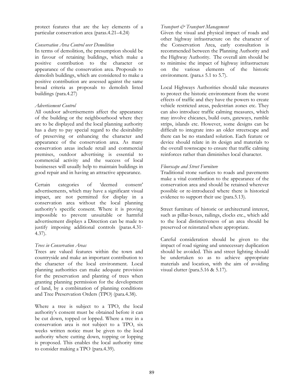protect features that are the key elements of a particular conservation area (paras.4.21–4.24)

# Conservation Area Control over Demolition

In terms of demolition, the presumption should be in favour of retaining buildings, which make a positive contribution to the character or appearance of the conservation area. Proposals to demolish buildings, which are considered to make a positive contribution are assessed against the same broad criteria as proposals to demolish listed buildings (para.4.27)

# Advertisement Control

All outdoor advertisements affect the appearance of the building or the neighbourhood where they are to be displayed and the local planning authority has a duty to pay special regard to the desirability of preserving or enhancing the character and appearance of the conservation area. As many conservation areas include retail and commercial premises, outdoor advertising is essential to commercial activity and the success of local businesses will usually help to maintain buildings in good repair and in having an attractive appearance.

Certain categories of 'deemed consent' advertisements, which may have a significant visual impact, are not permitted for display in a conservation area without the local planning authority's specific consent. Where it is proving impossible to prevent unsuitable or harmful advertisement displays a Direction can be made to justify imposing additional controls (paras.4.31- 4.37).

# Trees in Conservation Areas

Trees are valued features within the town and countryside and make an important contribution to the character of the local environment. Local planning authorities can make adequate provision for the preservation and planting of trees when granting planning permission for the development of land, by a combination of planning conditions and Tree Preservation Orders (TPO) (para.4.38).

Where a tree is subject to a TPO, the local authority's consent must be obtained before it can be cut down, topped or lopped. Where a tree in a conservation area is not subject to a TPO, six weeks written notice must be given to the local authority where cutting down, topping or lopping is proposed. This enables the local authority time to consider making a TPO (para.4.39).

# Transport  $\mathfrak{S}$  Transport Management

Given the visual and physical impact of roads and other highway infrastructure on the character of the Conservation Area, early consultation is recommended between the Planning Authority and the Highway Authority. The overall aim should be to minimise the impact of highway infrastructure on the various elements of the historic environment. (para.s 5.1 to 5.7).

Local Highways Authorities should take measures to protect the historic environment from the worst effects of traffic and they have the powers to create vehicle restricted areas, pedestrian zones etc. They can also introduce traffic calming measures, which may involve chicanes, build outs, gateways, rumble strips, islands etc. However, some designs can be difficult to integrate into an older streetscape and there can be no standard solution. Each feature or device should relate in its design and materials to the overall townscape to ensure that traffic calming reinforces rather than diminishes local character.

# Floorscape and Street Furniture

Traditional stone surfaces to roads and pavements make a vital contribution to the appearance of the conservation area and should be retained wherever possible or re-introduced where there is historical evidence to support their use (para.5.13).

Street furniture of historic or architectural interest, such as pillar-boxes, railings, clocks etc., which add to the local distinctiveness of an area should be preserved or reinstated where appropriate.

Careful consideration should be given to the impact of road signing and unnecessary duplication should be avoided. This and street lighting should be undertaken so as to achieve appropriate materials and location, with the aim of avoiding visual clutter (para.5.16 & 5.17).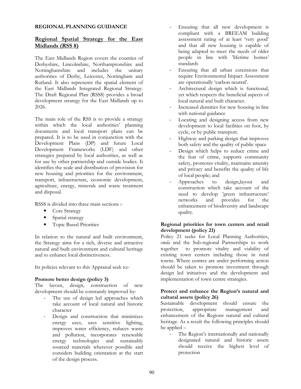#### REGIONAL PLANNING GUIDANCE

# Regional Spatial Strategy for the East Midlands (RSS 8)

The East Midlands Region covers the counties of Derbyshire, Lincolnshire, Northamptonshire and Nottinghamshire and includes the unitary authorities of Derby, Leicester, Nottingham and Rutland. It also represents the spatial element of the East Midlands Integrated Regional Strategy. The Draft Regional Plan (RSS8) provides a broad development strategy for the East Midlands up to 2026.

The main role of the RSS is to provide a strategy within which the local authorities' planning documents and local transport plans can be prepared. It is to be used in conjunction with the Development Plans (DP) and future Local Development Frameworks (LDF) and other strategies prepared by local authorities, as well as for use by other partnership and outside bodies. It identifies the scale and distribution of provision for new housing and priorities for the environment, transport, infrastructure, economic development, agriculture, energy, minerals and waste treatment and disposal.

RSS8 is divided into three main sections :-

- Core Strategy
- Spatial strategy
- Topic Based Priorities

In relation to the natural and built environment, the Strategy aims for a rich, diverse and attractive natural and built environment and cultural heritage and to enhance local distinctiveness.

Its policies relevant to this Appraisal seek to:-

# Promote better design (policy 3)

The layout, design, construction of new development should be constantly improved by:

- The use of design led approaches which take account of local natural and historic character
- Design and construction that minimizes energy uses, uses sensitive lighting, improves water efficiency, reduces waste and pollution, incorporates renewable energy technologies and sustainably sourced materials wherever possible and considers building orientation at the start of the design process.
- Ensuring that all new development is compliant with a BREEAM building assessment rating of at least 'very good' and that all new housing is capable of being adapted to meet the needs of older people in line with 'lifetime homes' standards
- Ensuring that all urban extensions that require Environmental Impact Assessment are operationally 'carbon neutral'.
- Architectural design which is functional, yet which respects the beneficial aspects of local natural and built character.
- Increased densities for new housing in line with national guidance
- Locating and designing access from new development to local facilities on foot, by cycle, or by public transport.
- Highway and parking design that improves both safety and the quality of public space
- Design which helps to reduce crime and the fear of crime, supports community safety, promotes vitality, maintains amenity and privacy and benefits the quality of life of local people; and
- Approaches to design,layout and construction which take account of the need to develop 'green infrastructure' networks and provides for the enhancement of biodiversity and landscape quality.

# Regional priorities for town centers and retail development (policy 21)

Policy 21 seeks for Local Planning Authorities, emda and the Sub-regional Partnerships to work together to promote vitality and viability of existing town centers including those in rural towns. Where centres are under performing action should be taken to promote investment through design led initiatives and the development and implementation of town centre strategies.

#### Protect and enhance the Region's natural and cultural assets (policy 26)

Sustainable development should ensure the protection, appropriate management and protection, appropriate management and enhancement of the Regions natural and cultural heritage. As a result the following principles should be applied :-

The Region's internationally and nationally designated natural and historic assets should receive the highest level of protection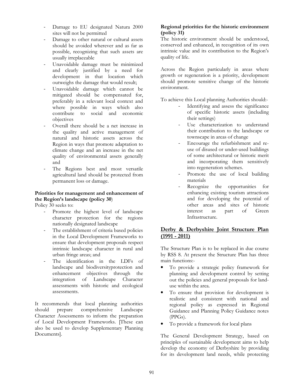- Damage to EU designated Natura 2000 sites will not be permitted
- Damage to other natural or cultural assets should be avoided wherever and as far as possible, recognizing that such assets are usually irreplaceable
- Unavoidable damage must be minimized and clearly justified by a need for development in that location which outweighs the damage that would result;
- Unavoidable damage which cannot be mitigated should be compensated for, preferably in a relevant local context and where possible in ways which also contribute to social and economic objectives
- Overall there should be a net increase in the quality and active management of natural and historic assets across the Region in ways that promote adaptation to climate change and an increase in the net quality of environmental assets generally and
- The Regions best and most versatile agricultural land should be protected from permanent loss or damage.

# Priorities for management and enhancement of the Region's landscape (policy 30)

Policy 30 seeks to:

- Promote the highest level of landscape character protection for the regions nationally designated landscape
- The establishment of criteria based policies in the Local Development Frameworks to ensure that development proposals respect intrinsic landscape character in rural and urban fringe areas; and
- The identification in the LDFs of landscape and biodiversityprotection and enhancement objectives through the integration of Landscape Character assessments with historic and ecological assessments.

It recommends that local planning authorities should prepare comprehensive Landscape Character Assessments to inform the preparation of Local Development Frameworks. [These can also be used to develop Supplementary Planning Documents].

# Regional priorities for the historic environment (policy 31)

The historic environment should be understood, conserved and enhanced, in recognition of its own intrinsic value and its contribution to the Region's quality of life.

Across the Region particularly in areas where growth or regeneration is a priority, development should promote sensitive change of the historic environment.

To achieve this Local planning Authorities should:-

- Identifying and assess the significance of specific historic assets (including their settings)
- Use characterization to understand their contribution to the landscape or townscape in areas of change
- Encourage the refurbishment and reuse of disused or under-used buildings of some architectural or historic merit and incorporating them sensitively into regeneration schemes.
- Promote the use of local building materials
- Recognize the opportunities for enhancing existing tourism attractions and for developing the potential of other areas and sites of historic interest as part of Green Infrastructure.

# Derby & Derbyshire Joint Structure Plan  $(1991 - 2011)$

The Structure Plan is to be replaced in due course by RSS 8. At present the Structure Plan has three main functions:-

- To provide a strategic policy framework for planning and development control by setting out the policies and general proposals for landuse within the area.
- To ensure that provision for development is realistic and consistent with national and regional policy as expressed in Regional Guidance and Planning Policy Guidance notes (PPGs).
- To provide a framework for local plans

The General Development Strategy, based on principles of sustainable development aims to help develop the economy of Derbyshire by providing for its development land needs, while protecting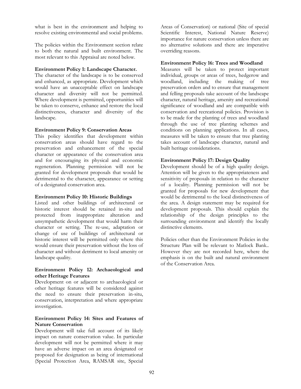what is best in the environment and helping to resolve existing environmental and social problems.

The policies within the Environment section relate to both the natural and built environment. The most relevant to this Appraisal are noted below.

#### Environment Policy 1: Landscape Character.

The character of the landscape is to be conserved and enhanced, as appropriate. Development which would have an unacceptable effect on landscape character and diversity will not be permitted. Where development is permitted, opportunities will be taken to conserve, enhance and restore the local distinctiveness, character and diversity of the landscape.

#### Environment Policy 9: Conservation Areas

This policy identifies that development within conservation areas should have regard to the preservation and enhancement of the special character or appearance of the conservation area and for encouraging its physical and economic regeneration. Planning permission will not be granted for development proposals that would be detrimental to the character, appearance or setting of a designated conservation area.

# Environment Policy 10: Historic Buildings

Listed and other buildings of architectural or historic interest should be retained in-situ and protected from inappropriate alteration and unsympathetic development that would harm their character or setting. The re-use, adaptation or change of use of buildings of architectural or historic interest will be permitted only where this would ensure their preservation without the loss of character and without detriment to local amenity or landscape quality.

#### Environment Policy 12: Archaeological and other Heritage Features

Development on or adjacent to archaeological or other heritage features will be considered against the need to ensure their preservation in-situ, conservation, interpretation and where appropriate investigation.

# Environment Policy 14: Sites and Features of Nature Conservation

Development will take full account of its likely impact on nature conservation value. In particular development will not be permitted where it may have an adverse impact on an area designated or proposed for designation as being of international (Special Protection Area, RAMSAR site, Special

Areas of Conservation) or national (Site of special Scientific Interest, National Nature Reserve) importance for nature conservation unless there are no alternative solutions and there are imperative overriding reasons.

# Environment Policy 16: Trees and Woodland

Measures will be taken to protect important individual, groups or areas of trees, hedgerow and woodland, including the making of tree preservation orders and to ensure that management and felling proposals take account of the landscape character, natural heritage, amenity and recreational significance of woodland and are compatible with conservation and recreational policies. Provision is to be made for the planting of trees and woodland through the use of tree planting schemes and conditions on planning applications. In all cases, measures will be taken to ensure that tree planting takes account of landscape character, natural and built heritage considerations.

# Environment Policy 17: Design Quality

Development should be of a high quality design. Attention will be given to the appropriateness and sensitivity of proposals in relation to the character of a locality. Planning permission will not be granted for proposals for new development that would be detrimental to the local distinctiveness of the area. A design statement may be required for development proposals. This should explain the relationship of the design principles to the surrounding environment and identify the locally distinctive elements.

Policies other than the Environment Policies in the Structure Plan will be relevant to Matlock Bank.. However they are not recorded here, where the emphasis is on the built and natural environment of the Conservation Area.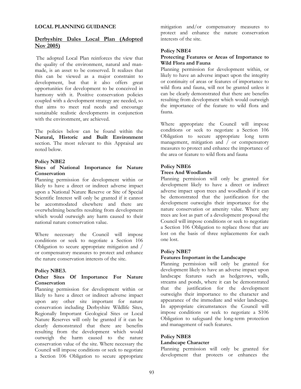#### LOCAL PLANNING GUIDANCE

# Derbyshire Dales Local Plan (Adopted Nov 2005)

 The adopted Local Plan reinforces the view that the quality of the environment, natural and manmade, is an asset to be conserved. It realizes that this can be viewed as a major constraint to development, but that it also offers great opportunities for development to be conceived in harmony with it. Positive conservation policies coupled with a development strategy are needed, so that aims to meet real needs and encourage sustainable realistic developments in conjunction with the environment, are achieved.

The policies below can be found within the Natural, Historic and Built Environment section. The most relevant to this Appraisal are noted below.

#### Policy NBE2

#### Sites of National Importance for Nature **Conservation**

Planning permission for development within or likely to have a direct or indirect adverse impact upon a National Nature Reserve or Site of Special Scientific Interest will only be granted if it cannot be accommodated elsewhere and there are overwhelming benefits resulting from development which would outweigh any harm caused to their national nature conservation value.

Where necessary the Council will impose conditions or seek to negotiate a Section 106 Obligation to secure appropriate mitigation and / or compensatory measures to protect and enhance the nature conservation interests of the site.

#### Policy NBE3.

#### Other Sites Of Importance For Nature Conservation

Planning permission for development within or likely to have a direct or indirect adverse impact upon any other site important for nature conservation including Derbyshire Wildlife Sites, Regionally Important Geological Sites or Local Nature Reserves will only be granted if it can be clearly demonstrated that there are benefits resulting from the development which would outweigh the harm caused to the nature conservation value of the site. Where necessary the Council will impose conditions or seek to negotiate a Section 106 Obligation to secure appropriate

mitigation and/or compensatory measures to protect and enhance the nature conservation interests of the site.

#### Policy NBE4

#### Protecting Features or Areas of Importance to Wild Flora and Fauna

Planning permission for development within, or likely to have an adverse impact upon the integrity or continuity of areas or features of importance to wild flora and fauna, will not be granted unless it can be clearly demonstrated that there are benefits resulting from development which would outweigh the importance of the feature to wild flora and fauna.

Where appropriate the Council will impose conditions or seek to negotiate a Section 106 Obligation to secure appropriate long term management, mitigation and  $\int$  or compensatory measures to protect and enhance the importance of the area or feature to wild flora and fauna

#### Policy NBE6

# Trees And Woodlands

Planning permission will only be granted for development likely to have a direct or indirect adverse impact upon trees and woodlands if it can be demonstrated that the justification for the development outweighs their importance for the nature conservation or amenity value. Where any trees are lost as part of a development proposal the Council will impose conditions or seek to negotiate a Section 106 Obligation to replace those that are lost on the basis of three replacements for each one lost.

# Policy NBE7

#### Features Important in the Landscape

Planning permission will only be granted for development likely to have an adverse impact upon landscape features such as hedgerows, walls, streams and ponds, where it can be demonstrated that the justification for the development outweighs their importance to the character and appearance of the immediate and wider landscape. In appropriate circumstances the Council will impose conditions or seek to negotiate a S106 Obligation to safeguard the long-term protection and management of such features.

#### Policy NBE8

#### Landscape Character

Planning permission will only be granted for development that protects or enhances the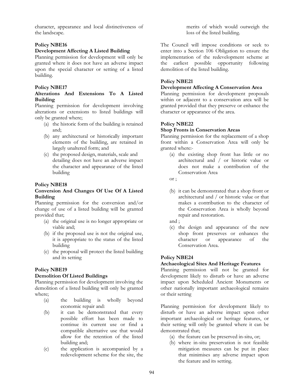character, appearance and local distinctiveness of the landscape.

# Policy NBE16

#### Development Affecting A Listed Building

Planning permission for development will only be granted where it does not have an adverse impact upon the special character or setting of a listed building.

# Policy NBE17

#### Alterations And Extensions To A Listed Building

Planning permission for development involving alterations or extensions to listed buildings will only be granted where;

- (a) the historic form of the building is retained and;
- (b) any architectural or historically important elements of the building, are retained in largely unaltered form; and
- (c) the proposed design, materials, scale and detailing does not have an adverse impact the character and appearance of the listed building

#### Policy NBE18

# Conversion And Changes Of Use Of A Listed Building

Planning permission for the conversion and/or change of use of a listed building will be granted provided that;

- (a) the original use is no longer appropriate or viable and;
- (b) if the proposed use is not the original use, it is appropriate to the status of the listed building
- (c) the proposal will protect the listed building and its setting

# Policy NBE19

#### Demolition Of Listed Buildings

Planning permission for development involving the demolition of a listed building will only be granted where;

- (a) the building is wholly beyond economic repair and:
- (b) it can be demonstrated that every possible effort has been made to continue its current use or find a compatible alternative use that would allow for the retention of the listed building and;
- (c) the application is accompanied by a redevelopment scheme for the site, the

merits of which would outweigh the loss of the listed building.

The Council will impose conditions or seek to enter into a Section 106 Obligation to ensure the implementation of the redevelopment scheme at the earliest possible opportunity following demolition of the listed building.

# Policy NBE21

#### Development Affecting A Conservation Area

Planning permission for development proposals within or adjacent to a conservation area will be granted provided that they preserve or enhance the character or appearance of the area.

#### Policy NBE22

#### Shop Fronts in Conservation Areas

Planning permission for the replacement of a shop front within a Conservation Area will only be granted where:-

(a) the existing shop front has little or no architectural and / or historic value or does not make a contribution of the Conservation Area

or ;

(b) it can be demonstrated that a shop front or architectural and / or historic value or that makes a contribution to the character of the Conservation Area is wholly beyond repair and restoration.

and ;

(c) the design and appearance of the new shop front preserves or enhances the character or appearance of the Conservation Area.

# Policy NBE24

# Archaeological Sites And Heritage Features

Planning permission will not be granted for development likely to disturb or have an adverse impact upon Scheduled Ancient Monuments or other nationally important archaeological remains or their setting

Planning permission for development likely to disturb or have an adverse impact upon other important archaeological or heritage features, or their setting will only be granted where it can be demonstrated that;

- (a) the feature can be preserved in-situ, or;
- (b) where in-situ preservation is not feasible mitigation measures can be put in place that minimises any adverse impact upon the feature and its setting.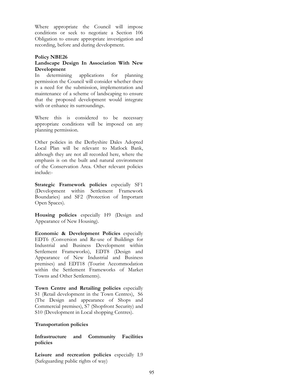Where appropriate the Council will impose conditions or seek to negotiate a Section 106 Obligation to ensure appropriate investigation and recording, before and during development.

# Policy NBE26

#### Landscape Design In Association With New Development

In determining applications for planning permission the Council will consider whether there is a need for the submission, implementation and maintenance of a scheme of landscaping to ensure that the proposed development would integrate with or enhance its surroundings.

Where this is considered to be necessary appropriate conditions will be imposed on any planning permission.

Other policies in the Derbyshire Dales Adopted Local Plan will be relevant to Matlock Bank, although they are not all recorded here, where the emphasis is on the built and natural environment of the Conservation Area. Other relevant policies include:-

Strategic Framework policies especially SF1 (Development within Settlement Framework Boundaries) and SF2 (Protection of Important Open Spaces).

Housing policies especially H9 (Design and Appearance of New Housing).

Economic & Development Policies especially EDT6 (Conversion and Re-use of Buildings for Industrial and Business Development within Settlement Frameworks), EDT8 (Design and Appearance of New Industrial and Business premises) and EDT18 (Tourist Accommodation within the Settlement Frameworks of Market Towns and Other Settlements).

Town Centre and Retailing policies especially S1 (Retail development in the Town Centres), S6 (The Design and appearance of Shops and Commercial premises), S7 (Shopfront Security) and S10 (Development in Local shopping Centres).

# Transportation policies

# Infrastructure and Community Facilities policies

Leisure and recreation policies especially L9 (Safeguarding public rights of way)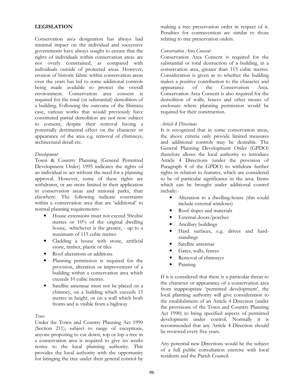# LEGISLATION

Conservation area designation has always had minimal impact on the individual and successive governments have always sought to ensure that the rights of individuals within conservation areas are not overly constrained, as compared with individuals outside of protected areas. However, erosion of historic fabric within conservation areas over the years has led to some additional controls being made available to protect the overall environment. Conservation area consent is required for the total (or substantial) demolition of a building. Following the outcome of the Shimizu case, various works that would previously have constituted partial demolition are not now subject to consent, despite their removal having a potentially detrimental effect on the character or appearance of the area e.g. removal of chimneys, architectural detail etc.

#### Development

Town & Country Planning (General Permitted Development Order) 1995 indicates the rights of an individual to act without the need for a planning approval. However, some of these rights are withdrawn, or are more limited in their application in conservation areas and national parks, than elsewhere. The following indicate constraints within a conservation area that are 'additional' to normal planning requirements:-

- House extensions must not exceed 50cubic metres or 10% of the original dwelling house, -whichever is the greater, - up to a maximum of 115 cubic metres
- Cladding a house with stone, artificial stone, timber, plastic or tiles
- Roof alterations or additions
- Planning permission is required for the provision, alteration or improvement of a building within a conservation area which exceeds 10 cubic metres.
- Satellite antennae must not be placed on a chimney, on a building which exceeds 15 metres in height, or on a wall which both fronts and is visible from a highway.

# Trees

Under the Town and Country Planning Act 1990 (Section 211), subject to range of exceptions, anyone proposing to cut down, top or lop a tree in a conservation area is required to give six weeks notice to the local planning authority. This provides the local authority with the opportunity for bringing the tree under their general control by

making a tree preservation order in respect of it. Penalties for contravention are similar to those relating to tree preservation orders.

#### Conservation Area Consent

Conservation Area Consent is required for the substantial or total destruction of a building, in a conservation area, greater than 115 cubic metres. Consideration is given as to whether the building makes a positive contribution to the character and appearance of the Conservation Area. Conservation Area Consent is also required for the demolition of walls, fences and other means of enclosure where planning permission would be required for their construction.

#### Article 4 Directions

It is recognized that in some conservation areas, the above criteria only provide limited measures and additional controls may be desirable. The General Planning Development Order (GPDO) therefore allows the local authority to introduce Article 4 Directions (under the provision of Paragraph 4 of the GPDO) to withdraw further rights in relation to features, which are considered to be of particular significance in the area. Items which can be brought under additional control include:-

- Alteration to a dwelling-house (this could include external windows)
- Roof slopes and materials
- External doors/porches
- Ancillary buildings
- Hard surfaces, e.g. drives and hardstandings
- Satellite antennae
- Gates, walls, fences
- Removal of chimneys
- Painting

If it is considered that there is a particular threat to the character or appearance of a conservation area from inappropriate 'permitted development', the local planning authority will give consideration to the establishment of an Article 4 Direction (under the provisions of the Town and Country Planning Act 1990) to bring specified aspects of permitted development under control. Normally it is recommended that any Article 4 Direction should be reviewed every five years.

Any potential new Directions would be the subject of a full public consultation exercise with local residents and the Parish Council.